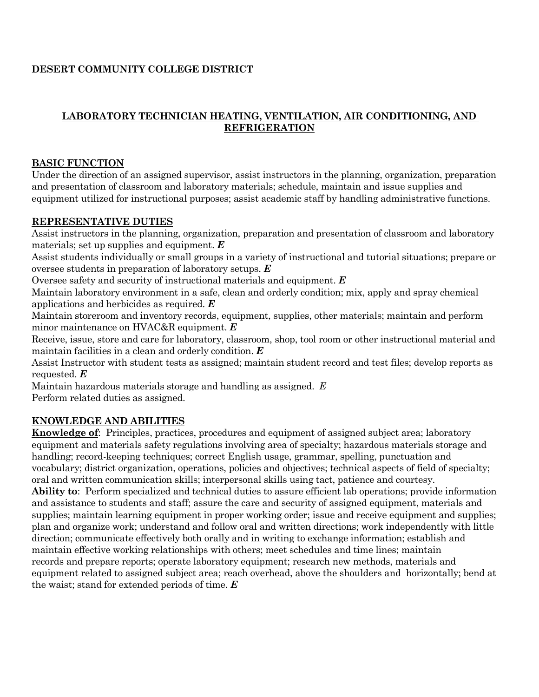## **DESERT COMMUNITY COLLEGE DISTRICT**

### **LABORATORY TECHNICIAN HEATING, VENTILATION, AIR CONDITIONING, AND REFRIGERATION**

### **BASIC FUNCTION**

Under the direction of an assigned supervisor, assist instructors in the planning, organization, preparation and presentation of classroom and laboratory materials; schedule, maintain and issue supplies and equipment utilized for instructional purposes; assist academic staff by handling administrative functions.

#### **REPRESENTATIVE DUTIES**

Assist instructors in the planning, organization, preparation and presentation of classroom and laboratory materials; set up supplies and equipment. *E*

Assist students individually or small groups in a variety of instructional and tutorial situations; prepare or oversee students in preparation of laboratory setups. *E*

Oversee safety and security of instructional materials and equipment. *E*

Maintain laboratory environment in a safe, clean and orderly condition; mix, apply and spray chemical applications and herbicides as required. *E*

Maintain storeroom and inventory records, equipment, supplies, other materials; maintain and perform minor maintenance on HVAC&R equipment. *E*

Receive, issue, store and care for laboratory, classroom, shop, tool room or other instructional material and maintain facilities in a clean and orderly condition. *E*

Assist Instructor with student tests as assigned; maintain student record and test files; develop reports as requested. *E*

Maintain hazardous materials storage and handling as assigned. *E* Perform related duties as assigned.

# **KNOWLEDGE AND ABILITIES**

**Knowledge of**: Principles, practices, procedures and equipment of assigned subject area; laboratory equipment and materials safety regulations involving area of specialty; hazardous materials storage and handling; record-keeping techniques; correct English usage, grammar, spelling, punctuation and vocabulary; district organization, operations, policies and objectives; technical aspects of field of specialty; oral and written communication skills; interpersonal skills using tact, patience and courtesy.

**Ability to**: Perform specialized and technical duties to assure efficient lab operations; provide information and assistance to students and staff; assure the care and security of assigned equipment, materials and supplies; maintain learning equipment in proper working order; issue and receive equipment and supplies; plan and organize work; understand and follow oral and written directions; work independently with little direction; communicate effectively both orally and in writing to exchange information; establish and maintain effective working relationships with others; meet schedules and time lines; maintain records and prepare reports; operate laboratory equipment; research new methods, materials and equipment related to assigned subject area; reach overhead, above the shoulders and horizontally; bend at the waist; stand for extended periods of time. *E*